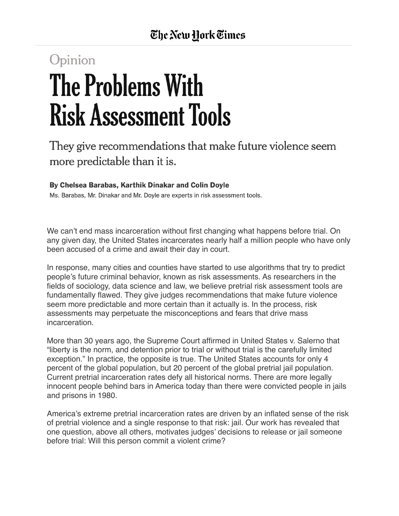## Opinion **The Problems With Risk Assessment Tools**

They give recommendations that make future violence seem more predictable than it is.

## By Chelsea Barabas, Karthik Dinakar and Colin Doyle

Ms. Barabas, Mr. Dinakar and Mr. Doyle are experts in risk assessment tools.

We can't end mass incarceration without first changing what happens before trial. On any given day, the United States incarcerates nearly half a million people who have only been accused of a crime and await their day in court.

In response, many cities and counties have started to use algorithms that try to predict people's future criminal behavior, known as risk assessments. As researchers in the fields of sociology, data science and law, we believe pretrial risk assessment tools are fundamentally flawed. They give judges recommendations that make future violence seem more predictable and more certain than it actually is. In the process, risk assessments may perpetuate the misconceptions and fears that drive mass incarceration.

More than 30 years ago, the Supreme Court affirmed in United States v. Salerno that "liberty is the norm, and detention prior to trial or without trial is the carefully limited exception." In practice, the opposite is true. The United States accounts for only 4 percent of the global population, but 20 percent of the global pretrial jail population. Current pretrial incarceration rates defy all historical norms. There are more legally innocent people behind bars in America today than there were convicted people in jails and prisons in 1980.

America's extreme pretrial incarceration rates are driven by an inflated sense of the risk of pretrial violence and a single response to that risk: jail. Our work has revealed that one question, above all others, motivates judges' decisions to release or jail someone before trial: Will this person commit a violent crime?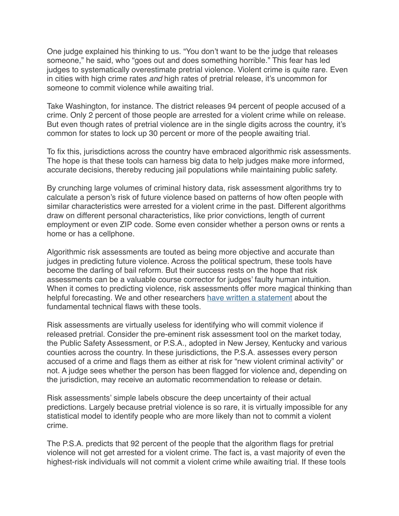One judge explained his thinking to us. "You don't want to be the judge that releases someone," he said, who "goes out and does something horrible." This fear has led judges to systematically overestimate pretrial violence. Violent crime is quite rare. Even in cities with high crime rates *and* high rates of pretrial release, it's uncommon for someone to commit violence while awaiting trial.

Take Washington, for instance. The district releases 94 percent of people accused of a crime. Only 2 percent of those people are arrested for a violent crime while on release. But even though rates of pretrial violence are in the single digits across the country, it's common for states to lock up 30 percent or more of the people awaiting trial.

To fix this, jurisdictions across the country have embraced algorithmic risk assessments. The hope is that these tools can harness big data to help judges make more informed, accurate decisions, thereby reducing jail populations while maintaining public safety.

By crunching large volumes of criminal history data, risk assessment algorithms try to calculate a person's risk of future violence based on patterns of how often people with similar characteristics were arrested for a violent crime in the past. Different algorithms draw on different personal characteristics, like prior convictions, length of current employment or even ZIP code. Some even consider whether a person owns or rents a home or has a cellphone.

Algorithmic risk assessments are touted as being more objective and accurate than judges in predicting future violence. Across the political spectrum, these tools have become the darling of bail reform. But their success rests on the hope that risk assessments can be a valuable course corrector for judges' faulty human intuition. When it comes to predicting violence, risk assessments offer more magical thinking than helpful forecasting. We and other researchers [have written a statement](https://dam-prod.media.mit.edu/x/2019/07/16/TechnicalFlawsOfPretrial_ML%20site.pdf) about the fundamental technical flaws with these tools.

Risk assessments are virtually useless for identifying who will commit violence if released pretrial. Consider the pre-eminent risk assessment tool on the market today, the Public Safety Assessment, or P.S.A., adopted in New Jersey, Kentucky and various counties across the country. In these jurisdictions, the P.S.A. assesses every person accused of a crime and flags them as either at risk for "new violent criminal activity" or not. A judge sees whether the person has been flagged for violence and, depending on the jurisdiction, may receive an automatic recommendation to release or detain.

Risk assessments' simple labels obscure the deep uncertainty of their actual predictions. Largely because pretrial violence is so rare, it is virtually impossible for any statistical model to identify people who are more likely than not to commit a violent crime.

The P.S.A. predicts that 92 percent of the people that the algorithm flags for pretrial violence will not get arrested for a violent crime. The fact is, a vast majority of even the highest-risk individuals will not commit a violent crime while awaiting trial. If these tools